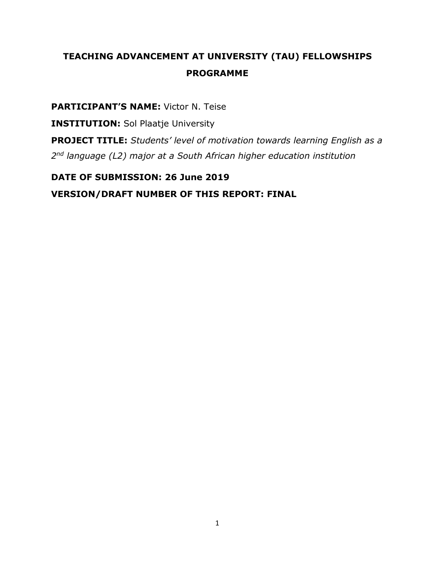# **TEACHING ADVANCEMENT AT UNIVERSITY (TAU) FELLOWSHIPS PROGRAMME**

**PARTICIPANT'S NAME:** Victor N. Teise

**INSTITUTION:** Sol Plaatje University

**PROJECT TITLE:** *Students' level of motivation towards learning English as a 2 nd language (L2) major at a South African higher education institution*

**DATE OF SUBMISSION: 26 June 2019 VERSION/DRAFT NUMBER OF THIS REPORT: FINAL**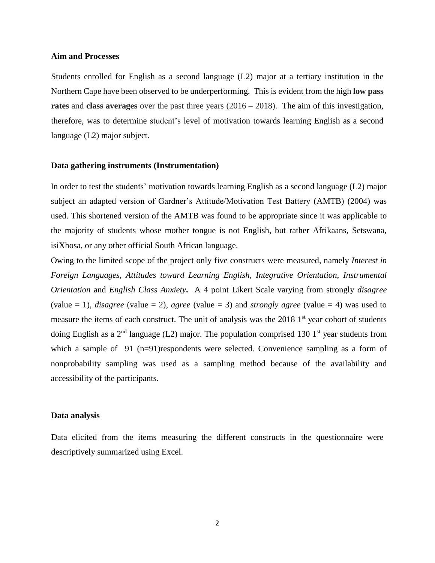#### **Aim and Processes**

Students enrolled for English as a second language (L2) major at a tertiary institution in the Northern Cape have been observed to be underperforming. This is evident from the high **low pass rates** and **class averages** over the past three years (2016 – 2018). The aim of this investigation, therefore, was to determine student's level of motivation towards learning English as a second language (L2) major subject.

#### **Data gathering instruments (Instrumentation)**

In order to test the students' motivation towards learning English as a second language (L2) major subject an adapted version of Gardner's Attitude/Motivation Test Battery (AMTB) (2004) was used. This shortened version of the AMTB was found to be appropriate since it was applicable to the majority of students whose mother tongue is not English, but rather Afrikaans, Setswana, isiXhosa, or any other official South African language.

Owing to the limited scope of the project only five constructs were measured, namely *Interest in Foreign Languages, Attitudes toward Learning English, Integrative Orientation, Instrumental Orientation* and *English Class Anxiety***.** A 4 point Likert Scale varying from strongly *disagree* (value  $= 1$ ), *disagree* (value  $= 2$ ), *agree* (value  $= 3$ ) and *strongly agree* (value  $= 4$ ) was used to measure the items of each construct. The unit of analysis was the 2018 1<sup>st</sup> year cohort of students doing English as a  $2<sup>nd</sup>$  language (L2) major. The population comprised 130 1<sup>st</sup> year students from which a sample of 91 (n=91)respondents were selected. Convenience sampling as a form of nonprobability sampling was used as a sampling method because of the availability and accessibility of the participants.

#### **Data analysis**

Data elicited from the items measuring the different constructs in the questionnaire were descriptively summarized using Excel.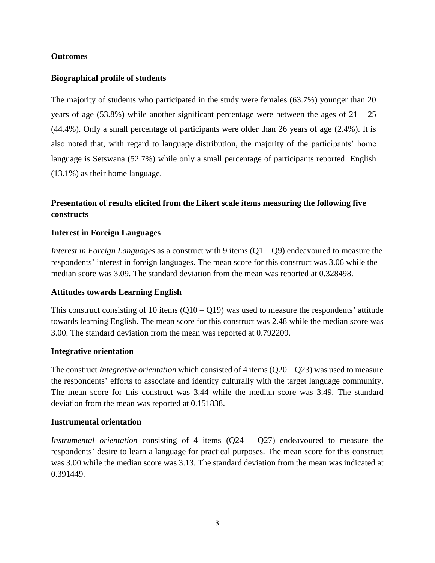# **Outcomes**

# **Biographical profile of students**

The majority of students who participated in the study were females (63.7%) younger than 20 years of age (53.8%) while another significant percentage were between the ages of  $21 - 25$ (44.4%). Only a small percentage of participants were older than 26 years of age (2.4%). It is also noted that, with regard to language distribution, the majority of the participants' home language is Setswana (52.7%) while only a small percentage of participants reported English (13.1%) as their home language.

# **Presentation of results elicited from the Likert scale items measuring the following five constructs**

#### **Interest in Foreign Languages**

*Interest in Foreign Languages* as a construct with 9 items (Q1 – Q9) endeavoured to measure the respondents' interest in foreign languages. The mean score for this construct was 3.06 while the median score was 3.09. The standard deviation from the mean was reported at 0.328498.

#### **Attitudes towards Learning English**

This construct consisting of 10 items  $(Q10 - Q19)$  was used to measure the respondents' attitude towards learning English. The mean score for this construct was 2.48 while the median score was 3.00. The standard deviation from the mean was reported at 0.792209.

#### **Integrative orientation**

The construct *Integrative orientation* which consisted of 4 items (Q20 – Q23) was used to measure the respondents' efforts to associate and identify culturally with the target language community. The mean score for this construct was 3.44 while the median score was 3.49. The standard deviation from the mean was reported at 0.151838.

## **Instrumental orientation**

*Instrumental orientation* consisting of 4 items (Q24 – Q27) endeavoured to measure the respondents' desire to learn a language for practical purposes. The mean score for this construct was 3.00 while the median score was 3.13. The standard deviation from the mean was indicated at 0.391449.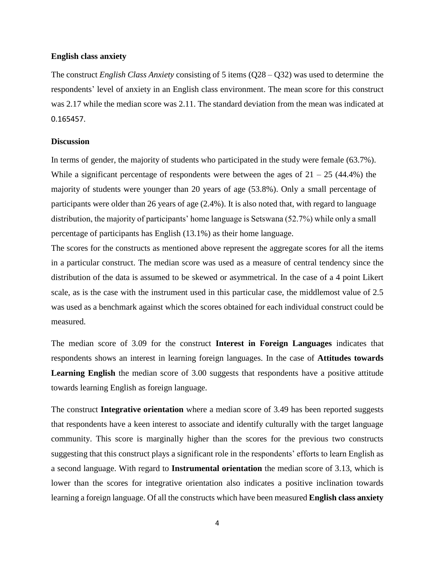#### **English class anxiety**

The construct *English Class Anxiety* consisting of 5 items (Q28 – Q32) was used to determine the respondents' level of anxiety in an English class environment. The mean score for this construct was 2.17 while the median score was 2.11. The standard deviation from the mean was indicated at 0.165457.

#### **Discussion**

In terms of gender, the majority of students who participated in the study were female (63.7%). While a significant percentage of respondents were between the ages of  $21 - 25$  (44.4%) the majority of students were younger than 20 years of age (53.8%). Only a small percentage of participants were older than 26 years of age (2.4%). It is also noted that, with regard to language distribution, the majority of participants' home language is Setswana (52.7%) while only a small percentage of participants has English (13.1%) as their home language.

The scores for the constructs as mentioned above represent the aggregate scores for all the items in a particular construct. The median score was used as a measure of central tendency since the distribution of the data is assumed to be skewed or asymmetrical. In the case of a 4 point Likert scale, as is the case with the instrument used in this particular case, the middlemost value of 2.5 was used as a benchmark against which the scores obtained for each individual construct could be measured.

The median score of 3.09 for the construct **Interest in Foreign Languages** indicates that respondents shows an interest in learning foreign languages. In the case of **Attitudes towards**  Learning English the median score of 3.00 suggests that respondents have a positive attitude towards learning English as foreign language.

The construct **Integrative orientation** where a median score of 3.49 has been reported suggests that respondents have a keen interest to associate and identify culturally with the target language community. This score is marginally higher than the scores for the previous two constructs suggesting that this construct plays a significant role in the respondents' efforts to learn English as a second language. With regard to **Instrumental orientation** the median score of 3.13, which is lower than the scores for integrative orientation also indicates a positive inclination towards learning a foreign language. Of all the constructs which have been measured **English class anxiety**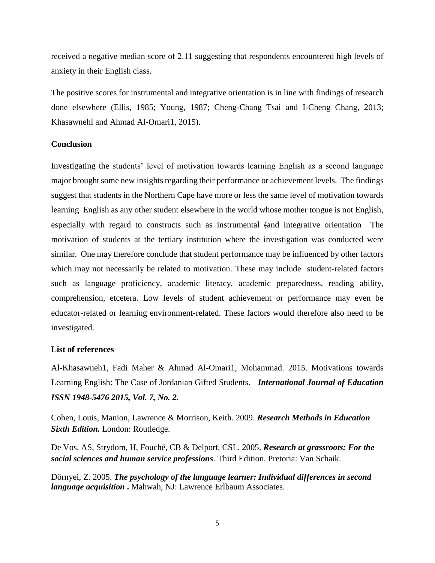received a negative median score of 2.11 suggesting that respondents encountered high levels of anxiety in their English class.

The positive scores for instrumental and integrative orientation is in line with findings of research done elsewhere (Ellis, 1985; Young, 1987; Cheng-Chang Tsai and I-Cheng Chang, 2013; Khasawnehl and Ahmad Al-Omari1, 2015).

### **Conclusion**

Investigating the students' level of motivation towards learning English as a second language major brought some new insights regarding their performance or achievement levels. The findings suggest that students in the Northern Cape have more or less the same level of motivation towards learning English as any other student elsewhere in the world whose mother tongue is not English, especially with regard to constructs such as instrumental (and integrative orientation The motivation of students at the tertiary institution where the investigation was conducted were similar. One may therefore conclude that student performance may be influenced by other factors which may not necessarily be related to motivation. These may include student-related factors such as language proficiency, academic literacy, academic preparedness, reading ability, comprehension, etcetera. Low levels of student achievement or performance may even be educator-related or learning environment-related. These factors would therefore also need to be investigated.

#### **List of references**

Al-Khasawneh1, Fadi Maher & Ahmad Al-Omari1, Mohammad. 2015. Motivations towards Learning English: The Case of Jordanian Gifted Students. *International Journal of Education ISSN 1948-5476 2015, Vol. 7, No. 2.*

Cohen, Louis, Manion, Lawrence & Morrison, Keith. 2009. *Research Methods in Education Sixth Edition.* London: Routledge.

De Vos, AS, Strydom, H, Fouché, CB & Delport, CSL. 2005. *Research at grassroots: For the social sciences and human service professions*. Third Edition. Pretoria: Van Schaik.

Dörnyei, Z. 2005. *The psychology of the language learner: Individual differences in second language acquisition* **.** Mahwah, NJ: Lawrence Erlbaum Associates.